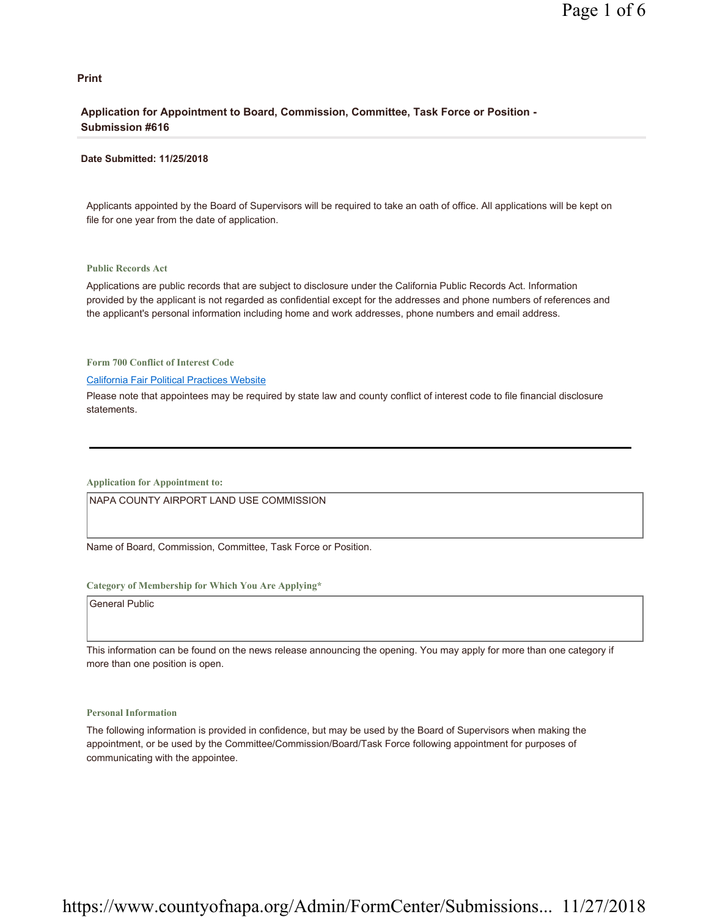#### **Print**

#### **Application for Appointment to Board, Commission, Committee, Task Force or Position - Submission #616**

#### **Date Submitted: 11/25/2018**

Applicants appointed by the Board of Supervisors will be required to take an oath of office. All applications will be kept on file for one year from the date of application.

#### **Public Records Act**

Applications are public records that are subject to disclosure under the California Public Records Act. Information provided by the applicant is not regarded as confidential except for the addresses and phone numbers of references and the applicant's personal information including home and work addresses, phone numbers and email address.

**Form 700 Conflict of Interest Code**

#### California Fair Political Practices Website

Please note that appointees may be required by state law and county conflict of interest code to file financial disclosure statements.

**Application for Appointment to:** 

NAPA COUNTY AIRPORT LAND USE COMMISSION

Name of Board, Commission, Committee, Task Force or Position.

#### **Category of Membership for Which You Are Applying\***

General Public

This information can be found on the news release announcing the opening. You may apply for more than one category if more than one position is open.

#### **Personal Information**

The following information is provided in confidence, but may be used by the Board of Supervisors when making the appointment, or be used by the Committee/Commission/Board/Task Force following appointment for purposes of communicating with the appointee.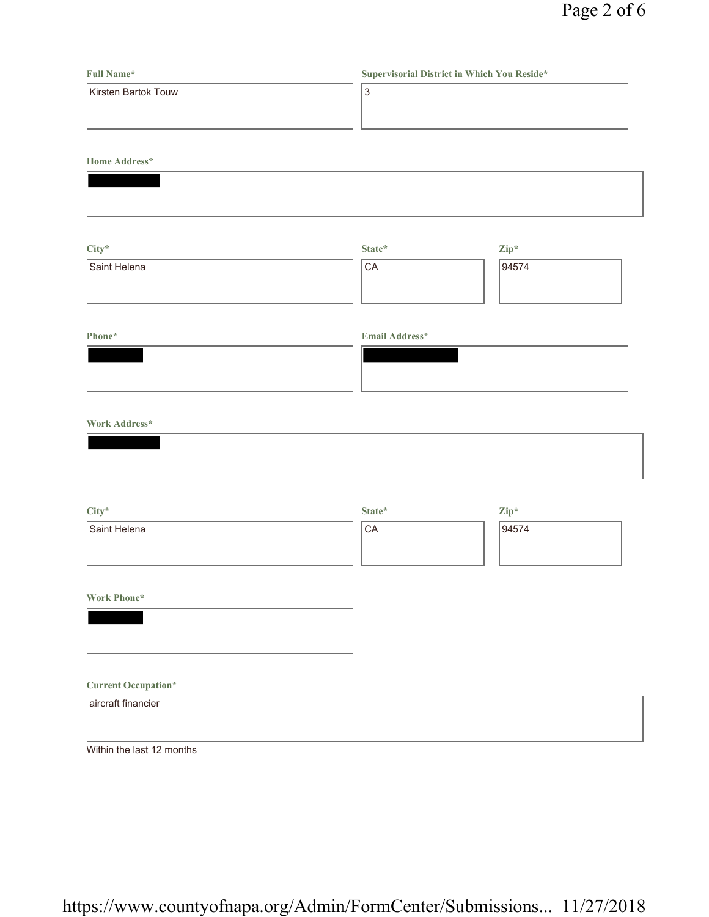### **Full Name\*** Kirsten Bartok Touw **Supervisorial District in Which You Reside\*** 3

**Home Address\***

| City*        | State* | $\mathbf{Zip}^*$ |
|--------------|--------|------------------|
| Saint Helena | 'CA    | 94574            |
|              |        |                  |
|              |        |                  |

| Phone* | <b>Email Address*</b> |
|--------|-----------------------|
|        |                       |
|        |                       |
|        |                       |

#### **Work Address\***

| City*        | State*          | $\mathbf{Zip}^*$ |
|--------------|-----------------|------------------|
| Saint Helena | <sup>1</sup> CA | 94574            |
|              |                 |                  |
|              |                 |                  |

#### **Work Phone\***



#### **Current Occupation\***

| aircraft financier        |  |  |
|---------------------------|--|--|
|                           |  |  |
| Within the last 12 months |  |  |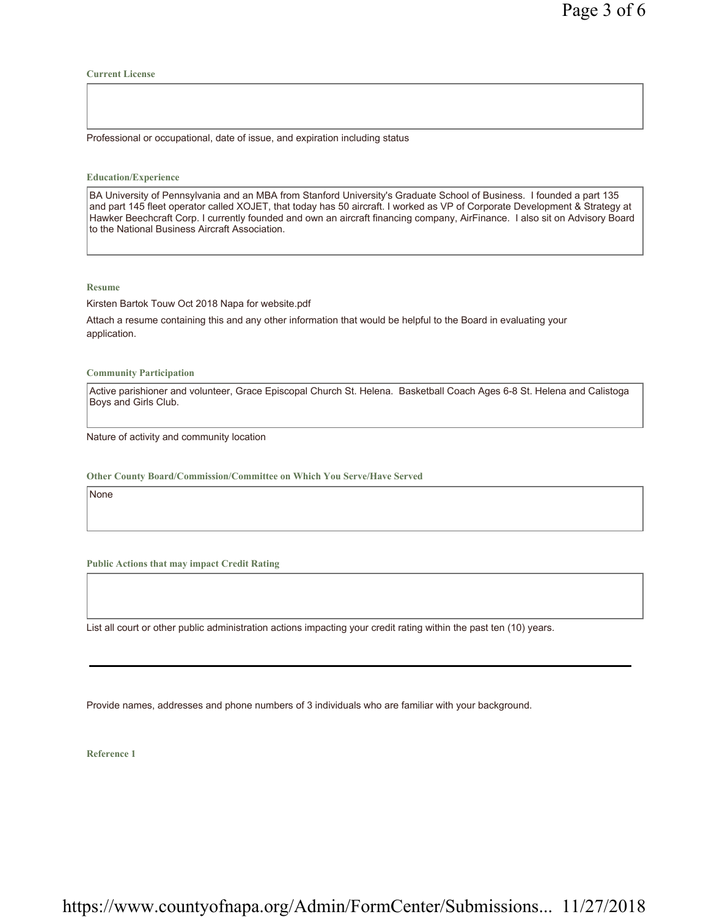#### **Current License**

Professional or occupational, date of issue, and expiration including status

#### **Education/Experience**

BA University of Pennsylvania and an MBA from Stanford University's Graduate School of Business. I founded a part 135 and part 145 fleet operator called XOJET, that today has 50 aircraft. I worked as VP of Corporate Development & Strategy at Hawker Beechcraft Corp. I currently founded and own an aircraft financing company, AirFinance. I also sit on Advisory Board to the National Business Aircraft Association.

#### **Resume**

Kirsten Bartok Touw Oct 2018 Napa for website.pdf

Attach a resume containing this and any other information that would be helpful to the Board in evaluating your application.

**Community Participation**

Active parishioner and volunteer, Grace Episcopal Church St. Helena. Basketball Coach Ages 6-8 St. Helena and Calistoga Boys and Girls Club.

Nature of activity and community location

**Other County Board/Commission/Committee on Which You Serve/Have Served**

None

**Public Actions that may impact Credit Rating**

List all court or other public administration actions impacting your credit rating within the past ten (10) years.

Provide names, addresses and phone numbers of 3 individuals who are familiar with your background.

**Reference 1**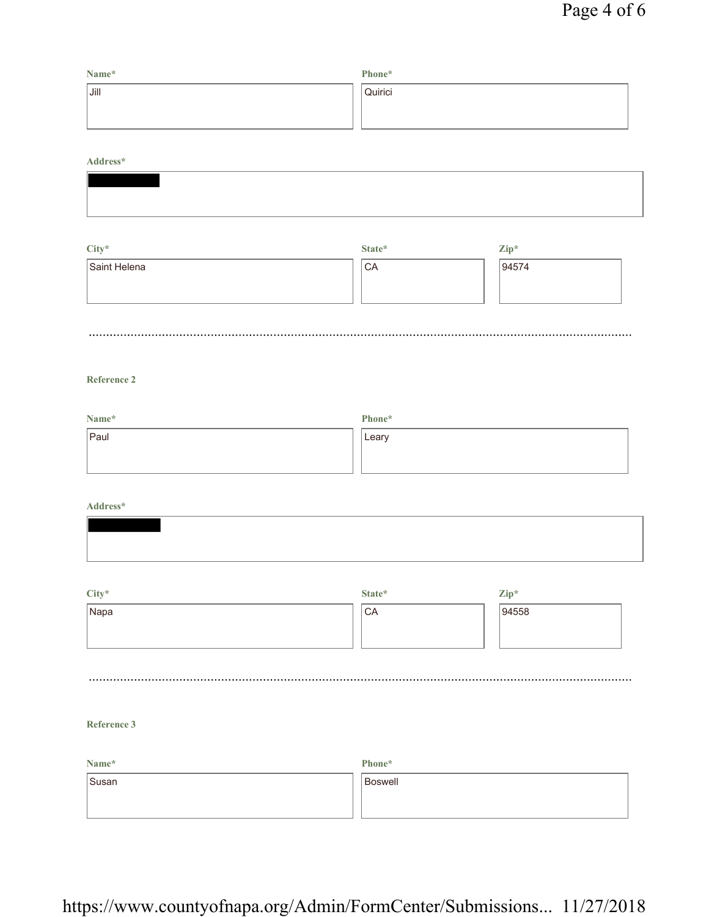| Name* | Phone*  |
|-------|---------|
| Jill  | Quirici |
|       |         |
|       |         |

#### **Address\***

| --------- |
|-----------|
|           |
|           |
|           |
|           |
|           |
|           |
|           |
|           |

| City*        | State* | $\mathbf{Zip}^*$ |
|--------------|--------|------------------|
| Saint Helena | CA     | 94574            |
|              |        |                  |
|              |        |                  |
|              |        |                  |
|              |        |                  |

#### **Reference 2**

| Name* | Phone* |
|-------|--------|
| Paul  | Leary  |
|       |        |
|       |        |

#### **Address\***

| City*<br>Napa | State*<br>CA | $\mathbf{Zip}^*$<br>94558 |
|---------------|--------------|---------------------------|
|               |              |                           |

#### **Reference 3**

| Name* | Phone*  |
|-------|---------|
| Susan | Boswell |
|       |         |
|       |         |

## https://www.countyofnapa.org/Admin/FormCenter/Submissions... 11/27/2018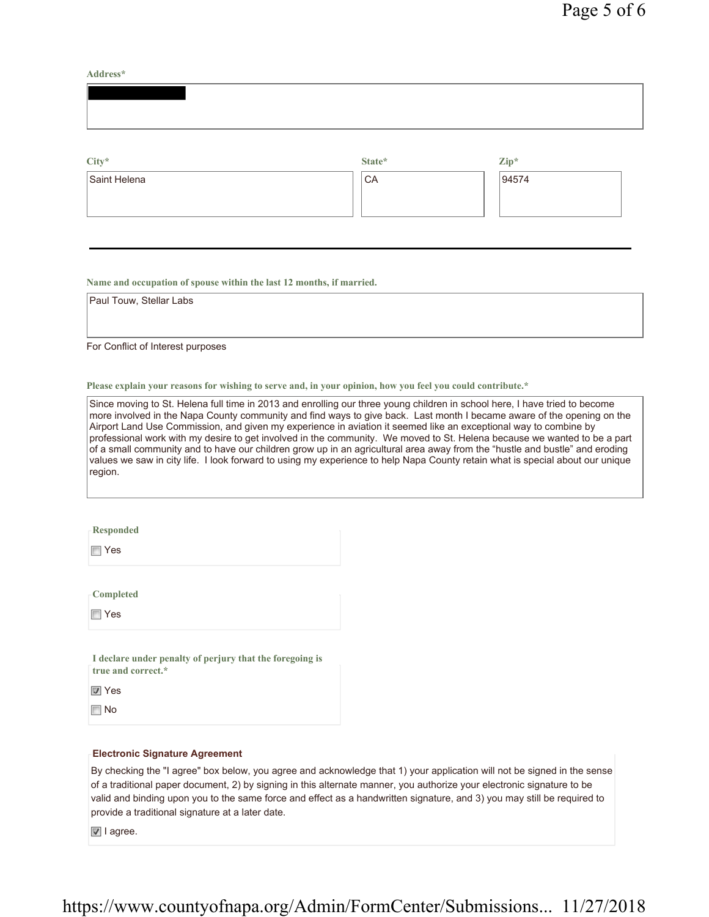**Address\***

| $\mathrm{City}^{\star}$ | State* | Zip*  |  |
|-------------------------|--------|-------|--|
| Saint Helena            | CA     | 94574 |  |

**Name and occupation of spouse within the last 12 months, if married.**

Paul Touw, Stellar Labs

For Conflict of Interest purposes

**Please explain your reasons for wishing to serve and, in your opinion, how you feel you could contribute.\***

Since moving to St. Helena full time in 2013 and enrolling our three young children in school here, I have tried to become more involved in the Napa County community and find ways to give back. Last month I became aware of the opening on the Airport Land Use Commission, and given my experience in aviation it seemed like an exceptional way to combine by professional work with my desire to get involved in the community. We moved to St. Helena because we wanted to be a part of a small community and to have our children grow up in an agricultural area away from the "hustle and bustle" and eroding values we saw in city life. I look forward to using my experience to help Napa County retain what is special about our unique region.

**Responded**

Yes

**Completed**

Yes

**I declare under penalty of perjury that the foregoing is true and correct.\***

**V** Yes

**No** 

#### **Electronic Signature Agreement**

By checking the "I agree" box below, you agree and acknowledge that 1) your application will not be signed in the sense of a traditional paper document, 2) by signing in this alternate manner, you authorize your electronic signature to be valid and binding upon you to the same force and effect as a handwritten signature, and 3) you may still be required to provide a traditional signature at a later date.

 $\boxed{v}$  I agree.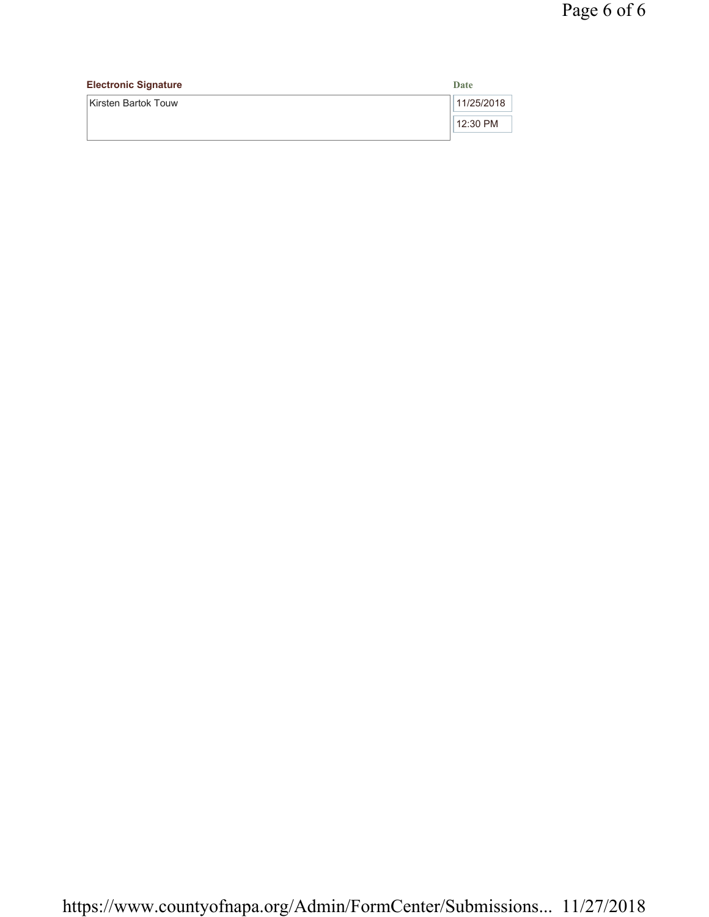| <b>Electronic Signature</b> | Date       |
|-----------------------------|------------|
| Kirsten Bartok Touw         | 11/25/2018 |
|                             | 12:30 PM   |
|                             |            |